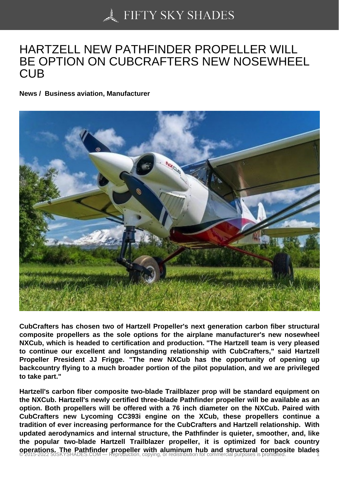## [HARTZELL NEW PATH](https://50skyshades.com)FINDER PROPELLER WILL BE OPTION ON CUBCRAFTERS NEW NOSEWHEEL **CUB**

News / Business aviation, Manufacturer

CubCrafters has chosen two of Hartzell Propeller's next generation carbon fiber structural composite propellers as the sole options for the airplane manufacturer's new nosewheel NXCub, which is headed to certification and production. "The Hartzell team is very pleased to continue our excellent and longstanding relationship with CubCrafters," said Hartzell Propeller President JJ Frigge. "The new NXCub has the opportunity of opening up backcountry flying to a much broader portion of the pilot population, and we are privileged to take part."

Hartzell's carbon fiber composite two-blade Trailblazer prop will be standard equipment on the NXCub. Hartzell's newly certified three-blade Pathfinder propeller will be available as an option. Both propellers will be offered with a 76 inch diameter on the NXCub. Paired with CubCrafters new Lycoming CC393i engine on the XCub, these propellers continue a tradition of ever increasing performance for the CubCrafters and Hartzell relationship. With updated aerodynamics and internal structure, the Pathfinder is quieter, smoother, and, like the popular two-blade Hartzell Trailblazer propeller, it is optimized for back country operations. The Pathfinder propeller with aluminum hub and structural composite blades<br>© 2015-2022 50SKYSHADES.COM — Reproduction, copying, or redistribution for commercial purposes is prohibited.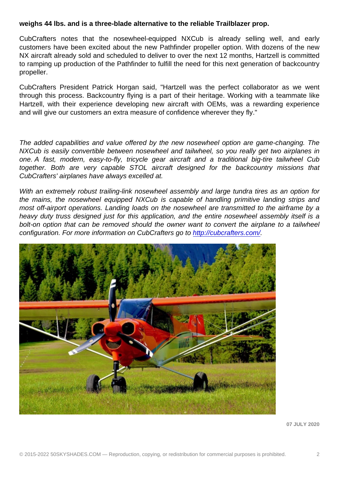CubCrafters notes that the nosewheel-equipped NXCub is already selling well, and early customers have been excited about the new Pathfinder propeller option. With dozens of the new NX aircraft already sold and scheduled to deliver to over the next 12 months, Hartzell is committed to ramping up production of the Pathfinder to fulfill the need for this next generation of backcountry propeller.

CubCrafters President Patrick Horgan said, "Hartzell was the perfect collaborator as we went through this process. Backcountry flying is a part of their heritage. Working with a teammate like Hartzell, with their experience developing new aircraft with OEMs, was a rewarding experience and will give our customers an extra measure of confidence wherever they fly."

The added capabilities and value offered by the new nosewheel option are game-changing. The NXCub is easily convertible between nosewheel and tailwheel, so you really get two airplanes in one. A fast, modern, easy-to-fly, tricycle gear aircraft and a traditional big-tire tailwheel Cub together. Both are very capable STOL aircraft designed for the backcountry missions that CubCrafters' airplanes have always excelled at.

With an extremely robust trailing-link nosewheel assembly and large tundra tires as an option for the mains, the nosewheel equipped NXCub is capable of handling primitive landing strips and most off-airport operations. Landing loads on the nosewheel are transmitted to the airframe by a heavy duty truss designed just for this application, and the entire nosewheel assembly itself is a bolt-on option that can be removed should the owner want to convert the airplane to a tailwheel configuration. For more information on CubCrafters go to http://cubcrafters.com/.

07 JULY 2020